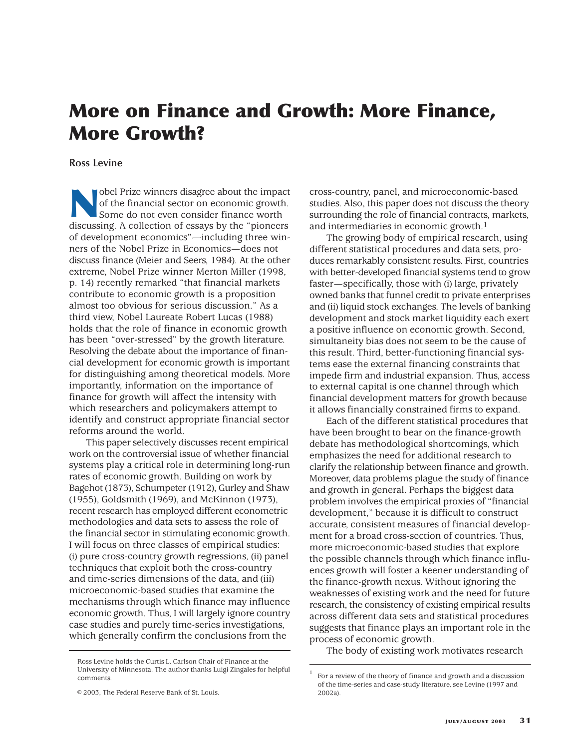# **More on Finance and Growth: More Finance, More Growth?**

#### **Ross Levine**

**Nobel Prize winners disagree about the impact<br>of the financial sector on economic growth.<br>Some do not even consider finance worth<br>discussing A collection of essays by the "pioneers"** of the financial sector on economic growth. Some do not even consider finance worth discussing. A collection of essays by the "pioneers of development economics"—including three winners of the Nobel Prize in Economics—does not discuss finance (Meier and Seers, 1984). At the other extreme, Nobel Prize winner Merton Miller (1998, p. 14) recently remarked "that financial markets contribute to economic growth is a proposition almost too obvious for serious discussion." As a third view, Nobel Laureate Robert Lucas (1988) holds that the role of finance in economic growth has been "over-stressed" by the growth literature. Resolving the debate about the importance of financial development for economic growth is important for distinguishing among theoretical models. More importantly, information on the importance of finance for growth will affect the intensity with which researchers and policymakers attempt to identify and construct appropriate financial sector reforms around the world.

This paper selectively discusses recent empirical work on the controversial issue of whether financial systems play a critical role in determining long-run rates of economic growth. Building on work by Bagehot (1873), Schumpeter (1912), Gurley and Shaw (1955), Goldsmith (1969), and McKinnon (1973), recent research has employed different econometric methodologies and data sets to assess the role of the financial sector in stimulating economic growth. I will focus on three classes of empirical studies: (i) pure cross-country growth regressions, (ii) panel techniques that exploit both the cross-country and time-series dimensions of the data, and (iii) microeconomic-based studies that examine the mechanisms through which finance may influence economic growth. Thus, I will largely ignore country case studies and purely time-series investigations, which generally confirm the conclusions from the

cross-country, panel, and microeconomic-based studies. Also, this paper does not discuss the theory surrounding the role of financial contracts, markets, and intermediaries in economic growth.1

The growing body of empirical research, using different statistical procedures and data sets, produces remarkably consistent results. First, countries with better-developed financial systems tend to grow faster—specifically, those with (i) large, privately owned banks that funnel credit to private enterprises and (ii) liquid stock exchanges. The levels of banking development and stock market liquidity each exert a positive influence on economic growth. Second, simultaneity bias does not seem to be the cause of this result. Third, better-functioning financial systems ease the external financing constraints that impede firm and industrial expansion. Thus, access to external capital is one channel through which financial development matters for growth because it allows financially constrained firms to expand.

Each of the different statistical procedures that have been brought to bear on the finance-growth debate has methodological shortcomings, which emphasizes the need for additional research to clarify the relationship between finance and growth. Moreover, data problems plague the study of finance and growth in general. Perhaps the biggest data problem involves the empirical proxies of "financial development," because it is difficult to construct accurate, consistent measures of financial development for a broad cross-section of countries. Thus, more microeconomic-based studies that explore the possible channels through which finance influences growth will foster a keener understanding of the finance-growth nexus. Without ignoring the weaknesses of existing work and the need for future research, the consistency of existing empirical results across different data sets and statistical procedures suggests that finance plays an important role in the process of economic growth.

The body of existing work motivates research

Ross Levine holds the Curtis L. Carlson Chair of Finance at the University of Minnesota. The author thanks Luigi Zingales for helpful comments.

<sup>©</sup> 2003, The Federal Reserve Bank of St. Louis.

<sup>1</sup> For a review of the theory of finance and growth and a discussion of the time-series and case-study literature, see Levine (1997 and 2002a).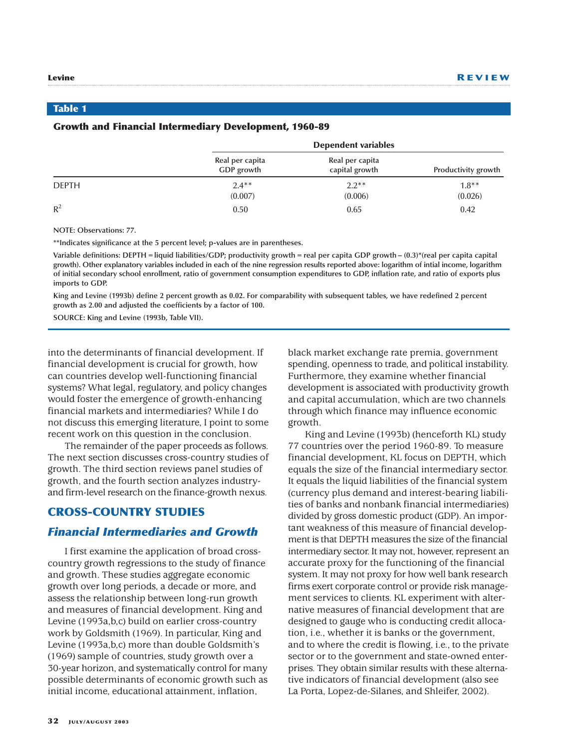#### **Growth and Financial Intermediary Development, 1960-89**

|              |                               | Dependent variables               |                     |  |  |  |
|--------------|-------------------------------|-----------------------------------|---------------------|--|--|--|
|              | Real per capita<br>GDP growth | Real per capita<br>capital growth | Productivity growth |  |  |  |
| <b>DEPTH</b> | $2.4**$<br>(0.007)            | $2.2**$<br>(0.006)                | $1.8**$<br>(0.026)  |  |  |  |
| $R^2$        | 0.50                          | 0.65                              | 0.42                |  |  |  |

#### **NOTE: Observations: 77.**

**\*\*Indicates significance at the 5 percent level; p-values are in parentheses.**

**Variable definitions: DEPTH = liquid liabilities/GDP; productivity growth = real per capita GDP growth – (0.3)\*(real per capita capital growth). Other explanatory variables included in each of the nine regression results reported above: logarithm of intial income, logarithm of initial secondary school enrollment, ratio of government consumption expenditures to GDP, inflation rate, and ratio of exports plus imports to GDP.**

**King and Levine (1993b) define 2 percent growth as 0.02. For comparability with subsequent tables, we have redefined 2 percent growth as 2.00 and adjusted the coefficients by a factor of 100.**

**SOURCE: King and Levine (1993b, Table VII).**

into the determinants of financial development. If financial development is crucial for growth, how can countries develop well-functioning financial systems? What legal, regulatory, and policy changes would foster the emergence of growth-enhancing financial markets and intermediaries? While I do not discuss this emerging literature, I point to some recent work on this question in the conclusion.

The remainder of the paper proceeds as follows. The next section discusses cross-country studies of growth. The third section reviews panel studies of growth, and the fourth section analyzes industryand firm-level research on the finance-growth nexus.

### **CROSS-COUNTRY STUDIES**

# *Financial Intermediaries and Growth*

I first examine the application of broad crosscountry growth regressions to the study of finance and growth. These studies aggregate economic growth over long periods, a decade or more, and assess the relationship between long-run growth and measures of financial development. King and Levine (1993a,b,c) build on earlier cross-country work by Goldsmith (1969). In particular, King and Levine (1993a,b,c) more than double Goldsmith's (1969) sample of countries, study growth over a 30-year horizon, and systematically control for many possible determinants of economic growth such as initial income, educational attainment, inflation,

black market exchange rate premia, government spending, openness to trade, and political instability. Furthermore, they examine whether financial development is associated with productivity growth and capital accumulation, which are two channels through which finance may influence economic growth.

King and Levine (1993b) (henceforth KL) study 77 countries over the period 1960-89. To measure financial development, KL focus on DEPTH, which equals the size of the financial intermediary sector. It equals the liquid liabilities of the financial system (currency plus demand and interest-bearing liabilities of banks and nonbank financial intermediaries) divided by gross domestic product (GDP). An important weakness of this measure of financial development is that DEPTH measures the size of the financial intermediary sector. It may not, however, represent an accurate proxy for the functioning of the financial system. It may not proxy for how well bank research firms exert corporate control or provide risk management services to clients. KL experiment with alternative measures of financial development that are designed to gauge who is conducting credit allocation, i.e., whether it is banks or the government, and to where the credit is flowing, i.e., to the private sector or to the government and state-owned enterprises. They obtain similar results with these alternative indicators of financial development (also see La Porta, Lopez-de-Silanes, and Shleifer, 2002).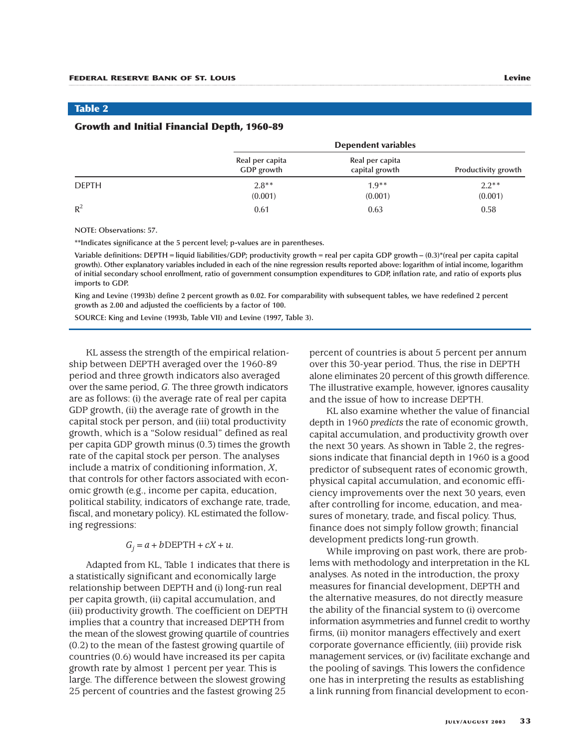#### **Growth and Initial Financial Depth, 1960-89**

|              |                               | <b>Dependent variables</b>        |                     |  |  |  |
|--------------|-------------------------------|-----------------------------------|---------------------|--|--|--|
|              | Real per capita<br>GDP growth | Real per capita<br>capital growth | Productivity growth |  |  |  |
| <b>DEPTH</b> | $2.8**$<br>(0.001)            | $1.9**$<br>(0.001)                | $2.2**$<br>(0.001)  |  |  |  |
| $R^2$        | 0.61                          | 0.63                              | 0.58                |  |  |  |

#### **NOTE: Observations: 57.**

**\*\*Indicates significance at the 5 percent level; p-values are in parentheses.**

**Variable definitions: DEPTH = liquid liabilities/GDP; productivity growth = real per capita GDP growth – (0.3)\*(real per capita capital growth). Other explanatory variables included in each of the nine regression results reported above: logarithm of intial income, logarithm of initial secondary school enrollment, ratio of government consumption expenditures to GDP, inflation rate, and ratio of exports plus imports to GDP.**

**King and Levine (1993b) define 2 percent growth as 0.02. For comparability with subsequent tables, we have redefined 2 percent growth as 2.00 and adjusted the coefficients by a factor of 100.**

**SOURCE: King and Levine (1993b, Table VII) and Levine (1997, Table 3).**

KL assess the strength of the empirical relationship between DEPTH averaged over the 1960-89 period and three growth indicators also averaged over the same period, *G*. The three growth indicators are as follows: (i) the average rate of real per capita GDP growth, (ii) the average rate of growth in the capital stock per person, and (iii) total productivity growth, which is a "Solow residual" defined as real per capita GDP growth minus (0.3) times the growth rate of the capital stock per person. The analyses include a matrix of conditioning information, *X*, that controls for other factors associated with economic growth (e.g., income per capita, education, political stability, indicators of exchange rate, trade, fiscal, and monetary policy). KL estimated the following regressions:

#### $G_i = a + b$ DEPTH +  $cX + u$ .

Adapted from KL, Table 1 indicates that there is a statistically significant and economically large relationship between DEPTH and (i) long-run real per capita growth, (ii) capital accumulation, and (iii) productivity growth. The coefficient on DEPTH implies that a country that increased DEPTH from the mean of the slowest growing quartile of countries (0.2) to the mean of the fastest growing quartile of countries (0.6) would have increased its per capita growth rate by almost 1 percent per year. This is large. The difference between the slowest growing 25 percent of countries and the fastest growing 25

percent of countries is about 5 percent per annum over this 30-year period. Thus, the rise in DEPTH alone eliminates 20 percent of this growth difference. The illustrative example, however, ignores causality and the issue of how to increase DEPTH.

KL also examine whether the value of financial depth in 1960 *predicts* the rate of economic growth, capital accumulation, and productivity growth over the next 30 years. As shown in Table 2, the regressions indicate that financial depth in 1960 is a good predictor of subsequent rates of economic growth, physical capital accumulation, and economic efficiency improvements over the next 30 years, even after controlling for income, education, and measures of monetary, trade, and fiscal policy. Thus, finance does not simply follow growth; financial development predicts long-run growth.

While improving on past work, there are problems with methodology and interpretation in the KL analyses. As noted in the introduction, the proxy measures for financial development, DEPTH and the alternative measures, do not directly measure the ability of the financial system to (i) overcome information asymmetries and funnel credit to worthy firms, (ii) monitor managers effectively and exert corporate governance efficiently, (iii) provide risk management services, or (iv) facilitate exchange and the pooling of savings. This lowers the confidence one has in interpreting the results as establishing a link running from financial development to econ-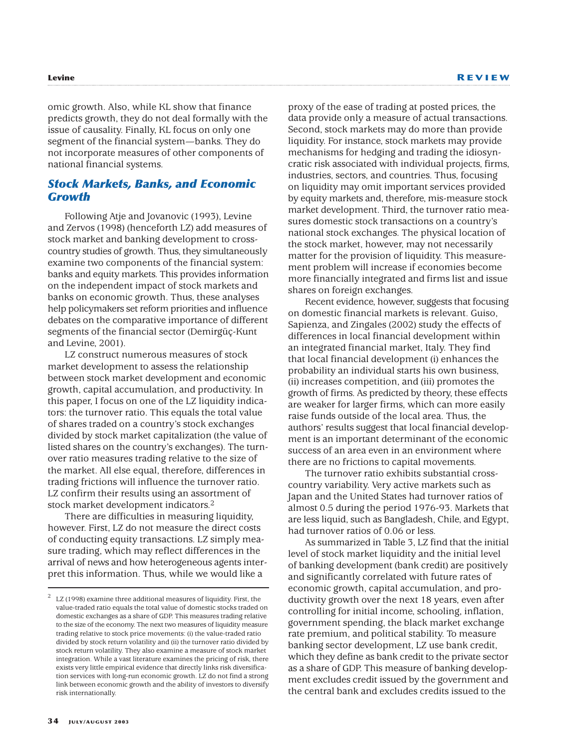omic growth. Also, while KL show that finance predicts growth, they do not deal formally with the issue of causality. Finally, KL focus on only one segment of the financial system—banks. They do not incorporate measures of other components of national financial systems.

# *Stock Markets, Banks, and Economic Growth*

Following Atje and Jovanovic (1993), Levine and Zervos (1998) (henceforth LZ) add measures of stock market and banking development to crosscountry studies of growth. Thus, they simultaneously examine two components of the financial system: banks and equity markets. This provides information on the independent impact of stock markets and banks on economic growth. Thus, these analyses help policymakers set reform priorities and influence debates on the comparative importance of different segments of the financial sector (Demirgüç-Kunt and Levine, 2001).

LZ construct numerous measures of stock market development to assess the relationship between stock market development and economic growth, capital accumulation, and productivity. In this paper, I focus on one of the LZ liquidity indicators: the turnover ratio. This equals the total value of shares traded on a country's stock exchanges divided by stock market capitalization (the value of listed shares on the country's exchanges). The turnover ratio measures trading relative to the size of the market. All else equal, therefore, differences in trading frictions will influence the turnover ratio. LZ confirm their results using an assortment of stock market development indicators.2

There are difficulties in measuring liquidity, however. First, LZ do not measure the direct costs of conducting equity transactions. LZ simply measure trading, which may reflect differences in the arrival of news and how heterogeneous agents interpret this information. Thus, while we would like a

proxy of the ease of trading at posted prices, the data provide only a measure of actual transactions. Second, stock markets may do more than provide liquidity. For instance, stock markets may provide mechanisms for hedging and trading the idiosyncratic risk associated with individual projects, firms, industries, sectors, and countries. Thus, focusing on liquidity may omit important services provided by equity markets and, therefore, mis-measure stock market development. Third, the turnover ratio measures domestic stock transactions on a country's national stock exchanges. The physical location of the stock market, however, may not necessarily matter for the provision of liquidity. This measurement problem will increase if economies become more financially integrated and firms list and issue shares on foreign exchanges.

Recent evidence, however, suggests that focusing on domestic financial markets is relevant. Guiso, Sapienza, and Zingales (2002) study the effects of differences in local financial development within an integrated financial market, Italy. They find that local financial development (i) enhances the probability an individual starts his own business, (ii) increases competition, and (iii) promotes the growth of firms. As predicted by theory, these effects are weaker for larger firms, which can more easily raise funds outside of the local area. Thus, the authors' results suggest that local financial development is an important determinant of the economic success of an area even in an environment where there are no frictions to capital movements.

The turnover ratio exhibits substantial crosscountry variability. Very active markets such as Japan and the United States had turnover ratios of almost 0.5 during the period 1976-93. Markets that are less liquid, such as Bangladesh, Chile, and Egypt, had turnover ratios of 0.06 or less.

As summarized in Table 3, LZ find that the initial level of stock market liquidity and the initial level of banking development (bank credit) are positively and significantly correlated with future rates of economic growth, capital accumulation, and productivity growth over the next 18 years, even after controlling for initial income, schooling, inflation, government spending, the black market exchange rate premium, and political stability. To measure banking sector development, LZ use bank credit, which they define as bank credit to the private sector as a share of GDP. This measure of banking development excludes credit issued by the government and the central bank and excludes credits issued to the

LZ (1998) examine three additional measures of liquidity. First, the value-traded ratio equals the total value of domestic stocks traded on domestic exchanges as a share of GDP. This measures trading relative to the size of the economy. The next two measures of liquidity measure trading relative to stock price movements: (i) the value-traded ratio divided by stock return volatility and (ii) the turnover ratio divided by stock return volatility. They also examine a measure of stock market integration. While a vast literature examines the pricing of risk, there exists very little empirical evidence that directly links risk diversification services with long-run economic growth. LZ do not find a strong link between economic growth and the ability of investors to diversify risk internationally.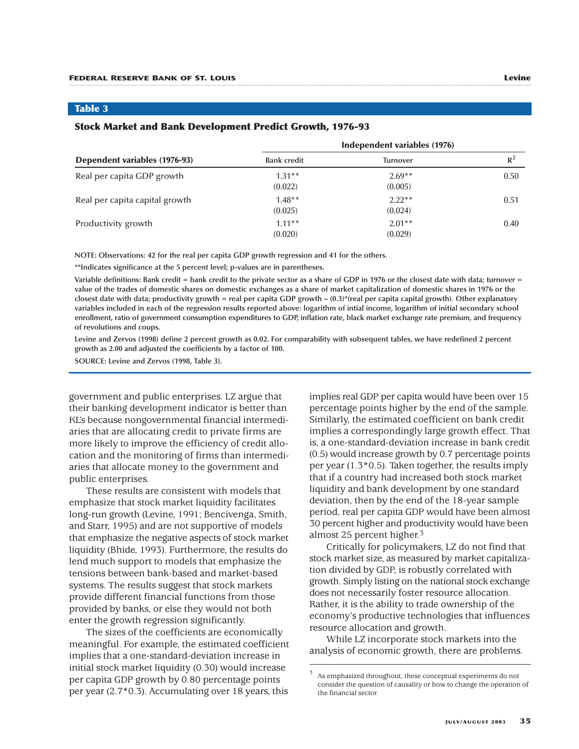#### **Stock Market and Bank Development Predict Growth, 1976-93**

|                                | Independent variables (1976) |                     |       |  |  |
|--------------------------------|------------------------------|---------------------|-------|--|--|
| Dependent variables (1976-93)  | <b>Bank credit</b>           | Turnover            | $R^2$ |  |  |
| Real per capita GDP growth     | $1.31**$<br>(0.022)          | $2.69**$<br>(0.005) | 0.50  |  |  |
| Real per capita capital growth | $1.48**$<br>(0.025)          | $2.22**$<br>(0.024) | 0.51  |  |  |
| Productivity growth            | $1.11**$<br>(0.020)          | $2.01**$<br>(0.029) | 0.40  |  |  |

**NOTE: Observations: 42 for the real per capita GDP growth regression and 41 for the others.**

**\*\*Indicates significance at the 5 percent level; p-values are in parentheses.**

**Variable definitions: Bank credit = bank credit to the private sector as a share of GDP in 1976 or the closest date with data; turnover = value of the trades of domestic shares on domestic exchanges as a share of market capitalization of domestic shares in 1976 or the closest date with data; productivity growth = real per capita GDP growth – (0.3)\*(real per capita capital growth). Other explanatory variables included in each of the regression results reported above: logarithm of intial income, logarithm of initial secondary school enrollment, ratio of government consumption expenditures to GDP, inflation rate, black market exchange rate premium, and frequency of revolutions and coups.**

**Levine and Zervos (1998) define 2 percent growth as 0.02. For comparability with subsequent tables, we have redefined 2 percent growth as 2.00 and adjusted the coefficients by a factor of 100.**

**SOURCE: Levine and Zervos (1998, Table 3).**

government and public enterprises. LZ argue that their banking development indicator is better than KL's because nongovernmental financial intermediaries that are allocating credit to private firms are more likely to improve the efficiency of credit allocation and the monitoring of firms than intermediaries that allocate money to the government and public enterprises.

These results are consistent with models that emphasize that stock market liquidity facilitates long-run growth (Levine, 1991; Bencivenga, Smith, and Starr, 1995) and are not supportive of models that emphasize the negative aspects of stock market liquidity (Bhide, 1993). Furthermore, the results do lend much support to models that emphasize the tensions between bank-based and market-based systems. The results suggest that stock markets provide different financial functions from those provided by banks, or else they would not both enter the growth regression significantly.

The sizes of the coefficients are economically meaningful. For example, the estimated coefficient implies that a one-standard-deviation increase in initial stock market liquidity (0.30) would increase per capita GDP growth by 0.80 percentage points per year (2.7\*0.3). Accumulating over 18 years, this

implies real GDP per capita would have been over 15 percentage points higher by the end of the sample. Similarly, the estimated coefficient on bank credit implies a correspondingly large growth effect. That is, a one-standard-deviation increase in bank credit (0.5) would increase growth by 0.7 percentage points per year (1.3\*0.5). Taken together, the results imply that if a country had increased both stock market liquidity and bank development by one standard deviation, then by the end of the 18-year sample period, real per capita GDP would have been almost 30 percent higher and productivity would have been almost 25 percent higher.<sup>3</sup>

Critically for policymakers, LZ do not find that stock market size, as measured by market capitalization divided by GDP, is robustly correlated with growth. Simply listing on the national stock exchange does not necessarily foster resource allocation. Rather, it is the ability to trade ownership of the economy's productive technologies that influences resource allocation and growth.

While LZ incorporate stock markets into the analysis of economic growth, there are problems.

As emphasized throughout, these conceptual experiments do not consider the question of causality or how to change the operation of the financial sector.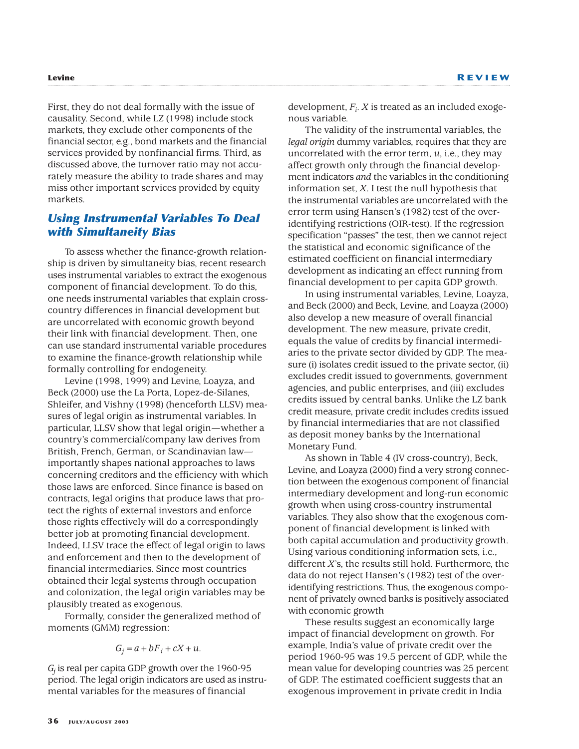First, they do not deal formally with the issue of causality. Second, while LZ (1998) include stock markets, they exclude other components of the financial sector, e.g., bond markets and the financial services provided by nonfinancial firms. Third, as discussed above, the turnover ratio may not accurately measure the ability to trade shares and may miss other important services provided by equity markets.

# *Using Instrumental Variables To Deal with Simultaneity Bias*

To assess whether the finance-growth relationship is driven by simultaneity bias, recent research uses instrumental variables to extract the exogenous component of financial development. To do this, one needs instrumental variables that explain crosscountry differences in financial development but are uncorrelated with economic growth beyond their link with financial development. Then, one can use standard instrumental variable procedures to examine the finance-growth relationship while formally controlling for endogeneity.

Levine (1998, 1999) and Levine, Loayza, and Beck (2000) use the La Porta, Lopez-de-Silanes, Shleifer, and Vishny (1998) (henceforth LLSV) measures of legal origin as instrumental variables. In particular, LLSV show that legal origin—whether a country's commercial/company law derives from British, French, German, or Scandinavian law importantly shapes national approaches to laws concerning creditors and the efficiency with which those laws are enforced. Since finance is based on contracts, legal origins that produce laws that protect the rights of external investors and enforce those rights effectively will do a correspondingly better job at promoting financial development. Indeed, LLSV trace the effect of legal origin to laws and enforcement and then to the development of financial intermediaries. Since most countries obtained their legal systems through occupation and colonization, the legal origin variables may be plausibly treated as exogenous.

Formally, consider the generalized method of moments (GMM) regression:

$$
G_j = a + bF_i + cX + u.
$$

*Gj* is real per capita GDP growth over the 1960-95 period. The legal origin indicators are used as instrumental variables for the measures of financial

development, *Fi* . *X* is treated as an included exogenous variable.

The validity of the instrumental variables, the *legal origin* dummy variables, requires that they are uncorrelated with the error term, *u*, i.e., they may affect growth only through the financial development indicators *and* the variables in the conditioning information set, *X*. I test the null hypothesis that the instrumental variables are uncorrelated with the error term using Hansen's (1982) test of the overidentifying restrictions (OIR-test). If the regression specification "passes" the test, then we cannot reject the statistical and economic significance of the estimated coefficient on financial intermediary development as indicating an effect running from financial development to per capita GDP growth.

In using instrumental variables, Levine, Loayza, and Beck (2000) and Beck, Levine, and Loayza (2000) also develop a new measure of overall financial development. The new measure, private credit, equals the value of credits by financial intermediaries to the private sector divided by GDP. The measure (i) isolates credit issued to the private sector, (ii) excludes credit issued to governments, government agencies, and public enterprises, and (iii) excludes credits issued by central banks. Unlike the LZ bank credit measure, private credit includes credits issued by financial intermediaries that are not classified as deposit money banks by the International Monetary Fund.

As shown in Table 4 (IV cross-country), Beck, Levine, and Loayza (2000) find a very strong connection between the exogenous component of financial intermediary development and long-run economic growth when using cross-country instrumental variables. They also show that the exogenous component of financial development is linked with both capital accumulation and productivity growth. Using various conditioning information sets, i.e., different *X*'s, the results still hold. Furthermore, the data do not reject Hansen's (1982) test of the overidentifying restrictions. Thus, the exogenous component of privately owned banks is positively associated with economic growth

These results suggest an economically large impact of financial development on growth. For example, India's value of private credit over the period 1960-95 was 19.5 percent of GDP, while the mean value for developing countries was 25 percent of GDP. The estimated coefficient suggests that an exogenous improvement in private credit in India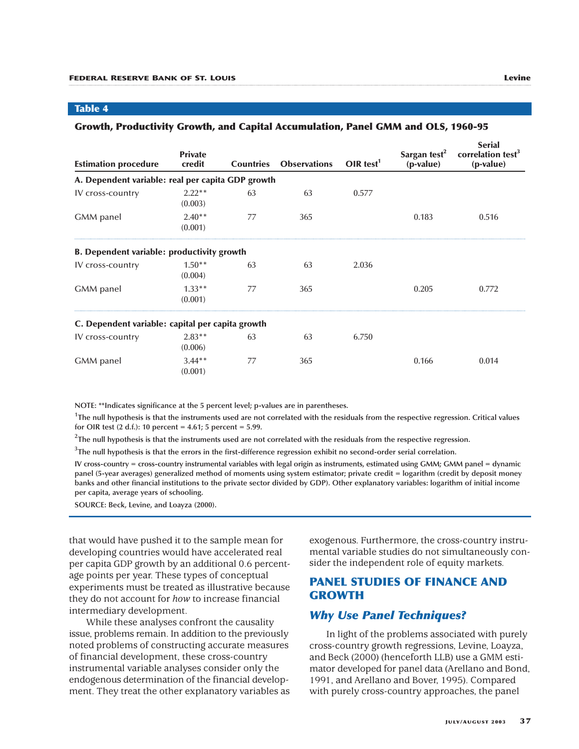| <b>Estimation procedure</b>                       | <b>Private</b><br>credit | <b>Countries</b> | <b>Observations</b> | OIR test <sup>1</sup> | Sargan test <sup>2</sup><br>$(p-value)$ | <b>Serial</b><br>correlation test <sup>3</sup><br>(p-value) |
|---------------------------------------------------|--------------------------|------------------|---------------------|-----------------------|-----------------------------------------|-------------------------------------------------------------|
| A. Dependent variable: real per capita GDP growth |                          |                  |                     |                       |                                         |                                                             |
| IV cross-country                                  | $2.22**$<br>(0.003)      | 63               | 63                  | 0.577                 |                                         |                                                             |
| GMM panel                                         | $2.40**$<br>(0.001)      | 77               | 365                 |                       | 0.183                                   | 0.516                                                       |
| <b>B. Dependent variable: productivity growth</b> |                          |                  |                     |                       |                                         |                                                             |
| IV cross-country                                  | $1.50**$<br>(0.004)      | 63               | 63                  | 2.036                 |                                         |                                                             |
| GMM panel                                         | $1.33**$<br>(0.001)      | 77               | 365                 |                       | 0.205                                   | 0.772                                                       |
| C. Dependent variable: capital per capita growth  |                          |                  |                     |                       |                                         |                                                             |
| IV cross-country                                  | $2.83**$<br>(0.006)      | 63               | 63                  | 6.750                 |                                         |                                                             |
| GMM panel                                         | $3.44**$<br>(0.001)      | 77               | 365                 |                       | 0.166                                   | 0.014                                                       |

#### **Growth, Productivity Growth, and Capital Accumulation, Panel GMM and OLS, 1960-95**

**NOTE: \*\*Indicates significance at the 5 percent level; p-values are in parentheses.**

**1 The null hypothesis is that the instruments used are not correlated with the residuals from the respective regression. Critical values for OIR test (2 d.f.): 10 percent = 4.61; 5 percent = 5.99.**

**2 The null hypothesis is that the instruments used are not correlated with the residuals from the respective regression.**

**3 The null hypothesis is that the errors in the first-difference regression exhibit no second-order serial correlation.**

**IV cross-country = cross-country instrumental variables with legal origin as instruments, estimated using GMM; GMM panel = dynamic panel (5-year averages) generalized method of moments using system estimator; private credit = logarithm (credit by deposit money banks and other financial institutions to the private sector divided by GDP). Other explanatory variables: logarithm of initial income per capita, average years of schooling.**

**SOURCE: Beck, Levine, and Loayza (2000).**

that would have pushed it to the sample mean for developing countries would have accelerated real per capita GDP growth by an additional 0.6 percentage points per year. These types of conceptual experiments must be treated as illustrative because they do not account for *how* to increase financial intermediary development.

While these analyses confront the causality issue, problems remain. In addition to the previously noted problems of constructing accurate measures of financial development, these cross-country instrumental variable analyses consider only the endogenous determination of the financial development. They treat the other explanatory variables as

exogenous. Furthermore, the cross-country instrumental variable studies do not simultaneously consider the independent role of equity markets.

# **PANEL STUDIES OF FINANCE AND GROWTH**

# *Why Use Panel Techniques?*

In light of the problems associated with purely cross-country growth regressions, Levine, Loayza, and Beck (2000) (henceforth LLB) use a GMM estimator developed for panel data (Arellano and Bond, 1991, and Arellano and Bover, 1995). Compared with purely cross-country approaches, the panel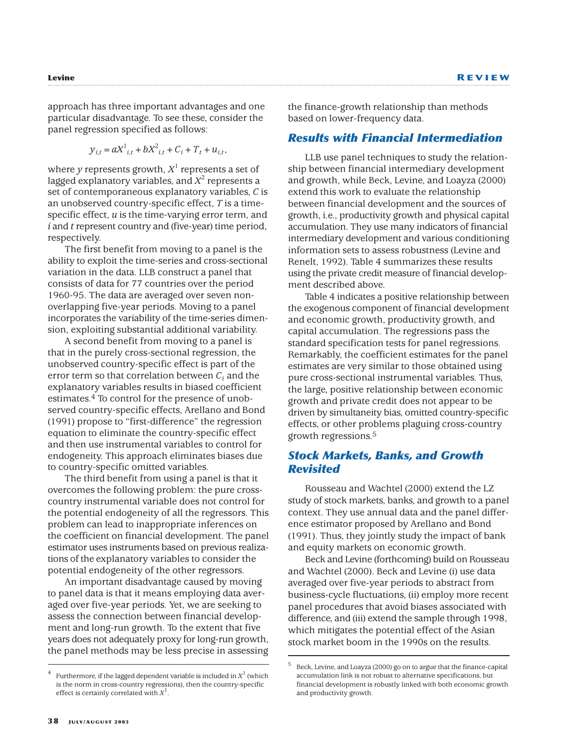approach has three important advantages and one particular disadvantage. To see these, consider the panel regression specified as follows:

$$
y_{i,t} = aX_{i,t}^1 + bX_{i,t}^2 + C_i + T_t + u_{i,t}
$$

where  $\gamma$  represents growth,  $X^1$  represents a set of lagged explanatory variables, and  $X^2$  represents a set of contemporaneous explanatory variables, *C* is an unobserved country-specific effect, *T* is a timespecific effect, *u* is the time-varying error term, and *i* and *t* represent country and (five-year) time period, respectively.

The first benefit from moving to a panel is the ability to exploit the time-series and cross-sectional variation in the data. LLB construct a panel that consists of data for 77 countries over the period 1960-95. The data are averaged over seven nonoverlapping five-year periods. Moving to a panel incorporates the variability of the time-series dimension, exploiting substantial additional variability.

A second benefit from moving to a panel is that in the purely cross-sectional regression, the unobserved country-specific effect is part of the error term so that correlation between *Ci* and the explanatory variables results in biased coefficient estimates.<sup>4</sup> To control for the presence of unobserved country-specific effects, Arellano and Bond (1991) propose to "first-difference" the regression equation to eliminate the country-specific effect and then use instrumental variables to control for endogeneity. This approach eliminates biases due to country-specific omitted variables.

The third benefit from using a panel is that it overcomes the following problem: the pure crosscountry instrumental variable does not control for the potential endogeneity of all the regressors. This problem can lead to inappropriate inferences on the coefficient on financial development. The panel estimator uses instruments based on previous realizations of the explanatory variables to consider the potential endogeneity of the other regressors.

An important disadvantage caused by moving to panel data is that it means employing data averaged over five-year periods. Yet, we are seeking to assess the connection between financial development and long-run growth. To the extent that five years does not adequately proxy for long-run growth, the panel methods may be less precise in assessing the finance-growth relationship than methods based on lower-frequency data.

#### *Results with Financial Intermediation*

LLB use panel techniques to study the relationship between financial intermediary development and growth, while Beck, Levine, and Loayza (2000) extend this work to evaluate the relationship between financial development and the sources of growth, i.e., productivity growth and physical capital accumulation. They use many indicators of financial intermediary development and various conditioning information sets to assess robustness (Levine and Renelt, 1992). Table 4 summarizes these results using the private credit measure of financial development described above.

Table 4 indicates a positive relationship between the exogenous component of financial development and economic growth, productivity growth, and capital accumulation. The regressions pass the standard specification tests for panel regressions. Remarkably, the coefficient estimates for the panel estimates are very similar to those obtained using pure cross-sectional instrumental variables. Thus, the large, positive relationship between economic growth and private credit does not appear to be driven by simultaneity bias, omitted country-specific effects, or other problems plaguing cross-country growth regressions.5

# *Stock Markets, Banks, and Growth Revisited*

Rousseau and Wachtel (2000) extend the LZ study of stock markets, banks, and growth to a panel context. They use annual data and the panel difference estimator proposed by Arellano and Bond (1991). Thus, they jointly study the impact of bank and equity markets on economic growth.

Beck and Levine (forthcoming) build on Rousseau and Wachtel (2000). Beck and Levine (i) use data averaged over five-year periods to abstract from business-cycle fluctuations, (ii) employ more recent panel procedures that avoid biases associated with difference, and (iii) extend the sample through 1998, which mitigates the potential effect of the Asian stock market boom in the 1990s on the results.

Furthermore, if the lagged dependent variable is included in  $X^1$  (which is the norm in cross-country regressions), then the country-specific effect is certainly correlated with *X*<sup>1</sup> .

<sup>5</sup> Beck, Levine, and Loayza (2000) go on to argue that the finance-capital accumulation link is not robust to alternative specifications, but financial development is robustly linked with both economic growth and productivity growth.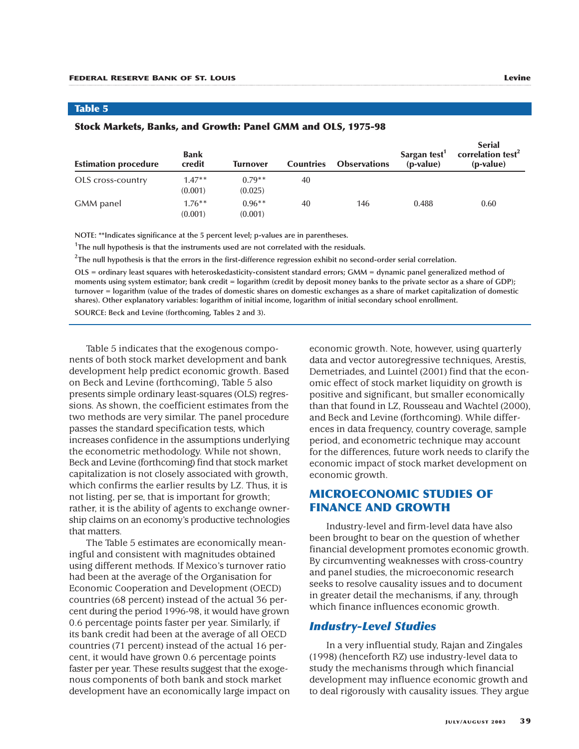| <b>Estimation procedure</b> | <b>Bank</b><br>credit | Turnover            | <b>Countries</b> | <b>Observations</b> | Sargan test <sup>1</sup><br>( <i>p</i> -value) | <b>Serial</b><br>correlation test <sup>2</sup><br>( <i>p</i> -value) |
|-----------------------------|-----------------------|---------------------|------------------|---------------------|------------------------------------------------|----------------------------------------------------------------------|
| OLS cross-country           | $1.47**$<br>(0.001)   | $0.79**$<br>(0.025) | 40               |                     |                                                |                                                                      |
| GMM panel                   | $1.76***$<br>(0.001)  | $0.96**$<br>(0.001) | 40               | 146                 | 0.488                                          | 0.60                                                                 |

#### **Stock Markets, Banks, and Growth: Panel GMM and OLS, 1975-98**

**NOTE: \*\*Indicates significance at the 5 percent level; p-values are in parentheses.**

<sup>1</sup>The null hypothesis is that the instruments used are not correlated with the residuals.

**2 The null hypothesis is that the errors in the first-difference regression exhibit no second-order serial correlation.**

**OLS = ordinary least squares with heteroskedasticity-consistent standard errors; GMM = dynamic panel generalized method of moments using system estimator; bank credit = logarithm (credit by deposit money banks to the private sector as a share of GDP); turnover = logarithm (value of the trades of domestic shares on domestic exchanges as a share of market capitalization of domestic shares). Other explanatory variables: logarithm of initial income, logarithm of initial secondary school enrollment.**

**SOURCE: Beck and Levine (forthcoming, Tables 2 and 3).**

Table 5 indicates that the exogenous components of both stock market development and bank development help predict economic growth. Based on Beck and Levine (forthcoming), Table 5 also presents simple ordinary least-squares (OLS) regressions. As shown, the coefficient estimates from the two methods are very similar. The panel procedure passes the standard specification tests, which increases confidence in the assumptions underlying the econometric methodology. While not shown, Beck and Levine (forthcoming) find that stock market capitalization is not closely associated with growth, which confirms the earlier results by LZ. Thus, it is not listing, per se, that is important for growth; rather, it is the ability of agents to exchange ownership claims on an economy's productive technologies that matters.

The Table 5 estimates are economically meaningful and consistent with magnitudes obtained using different methods. If Mexico's turnover ratio had been at the average of the Organisation for Economic Cooperation and Development (OECD) countries (68 percent) instead of the actual 36 percent during the period 1996-98, it would have grown 0.6 percentage points faster per year. Similarly, if its bank credit had been at the average of all OECD countries (71 percent) instead of the actual 16 percent, it would have grown 0.6 percentage points faster per year. These results suggest that the exogenous components of both bank and stock market development have an economically large impact on economic growth. Note, however, using quarterly data and vector autoregressive techniques, Arestis, Demetriades, and Luintel (2001) find that the economic effect of stock market liquidity on growth is positive and significant, but smaller economically than that found in LZ, Rousseau and Wachtel (2000), and Beck and Levine (forthcoming). While differences in data frequency, country coverage, sample period, and econometric technique may account for the differences, future work needs to clarify the economic impact of stock market development on economic growth.

# **MICROECONOMIC STUDIES OF FINANCE AND GROWTH**

Industry-level and firm-level data have also been brought to bear on the question of whether financial development promotes economic growth. By circumventing weaknesses with cross-country and panel studies, the microeconomic research seeks to resolve causality issues and to document in greater detail the mechanisms, if any, through which finance influences economic growth.

## *Industry-Level Studies*

In a very influential study, Rajan and Zingales (1998) (henceforth RZ) use industry-level data to study the mechanisms through which financial development may influence economic growth and to deal rigorously with causality issues. They argue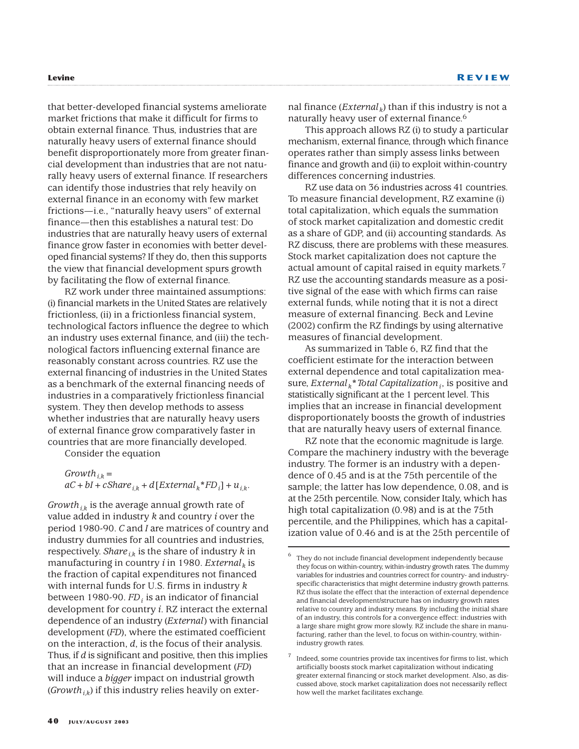that better-developed financial systems ameliorate market frictions that make it difficult for firms to obtain external finance. Thus, industries that are naturally heavy users of external finance should benefit disproportionately more from greater financial development than industries that are not naturally heavy users of external finance. If researchers can identify those industries that rely heavily on external finance in an economy with few market frictions—i.e., "naturally heavy users" of external finance—then this establishes a natural test: Do industries that are naturally heavy users of external finance grow faster in economies with better developed financial systems? If they do, then this supports the view that financial development spurs growth by facilitating the flow of external finance.

RZ work under three maintained assumptions: (i) financial markets in the United States are relatively frictionless, (ii) in a frictionless financial system, technological factors influence the degree to which an industry uses external finance, and (iii) the technological factors influencing external finance are reasonably constant across countries. RZ use the external financing of industries in the United States as a benchmark of the external financing needs of industries in a comparatively frictionless financial system. They then develop methods to assess whether industries that are naturally heavy users of external finance grow comparatively faster in countries that are more financially developed.

Consider the equation

 $Growth_{ik} =$  $aC + bI + cShare_{ik} + d[External_k*FD_i] + u_{ik}$ 

*Growth*<sub>*ik*</sub> is the average annual growth rate of value added in industry *k* and country *i* over the period 1980-90. *C* and *I* are matrices of country and industry dummies for all countries and industries, respectively. *Share*<sub>*ik*</sub> is the share of industry *k* in manufacturing in country *i* in 1980. *External <sup>k</sup>* is the fraction of capital expenditures not financed with internal funds for U.S. firms in industry *k* between 1980-90. *FD<sub>i</sub>* is an indicator of financial development for country *i*. RZ interact the external dependence of an industry (*External*) with financial development (*FD*), where the estimated coefficient on the interaction, *d*, is the focus of their analysis. Thus, if *d* is significant and positive, then this implies that an increase in financial development (*FD*) will induce a *bigger* impact on industrial growth (*Growth*<sub>*ik*</sub>) if this industry relies heavily on exter-

nal finance (*External <sup>k</sup>*) than if this industry is not a naturally heavy user of external finance.6

This approach allows RZ (i) to study a particular mechanism, external finance, through which finance operates rather than simply assess links between finance and growth and (ii) to exploit within-country differences concerning industries.

RZ use data on 36 industries across 41 countries. To measure financial development, RZ examine (i) total capitalization, which equals the summation of stock market capitalization and domestic credit as a share of GDP, and (ii) accounting standards. As RZ discuss, there are problems with these measures. Stock market capitalization does not capture the actual amount of capital raised in equity markets.7 RZ use the accounting standards measure as a positive signal of the ease with which firms can raise external funds, while noting that it is not a direct measure of external financing. Beck and Levine (2002) confirm the RZ findings by using alternative measures of financial development.

As summarized in Table 6, RZ find that the coefficient estimate for the interaction between external dependence and total capitalization measure, *External*  $<sub>k</sub>$ <sup>\*</sup> *Total Capitalization*<sub>*i*</sub>, is positive and</sub> statistically significant at the 1 percent level. This implies that an increase in financial development disproportionately boosts the growth of industries that are naturally heavy users of external finance.

RZ note that the economic magnitude is large. Compare the machinery industry with the beverage industry. The former is an industry with a dependence of 0.45 and is at the 75th percentile of the sample; the latter has low dependence, 0.08, and is at the 25th percentile. Now, consider Italy, which has high total capitalization (0.98) and is at the 75th percentile, and the Philippines, which has a capitalization value of 0.46 and is at the 25th percentile of

They do not include financial development independently because they focus on within-country, within-industry growth rates. The dummy variables for industries and countries correct for country- and industryspecific characteristics that might determine industry growth patterns. RZ thus isolate the effect that the interaction of external dependence and financial development/structure has on industry growth rates relative to country and industry means. By including the initial share of an industry, this controls for a convergence effect: industries with a large share might grow more slowly. RZ include the share in manufacturing, rather than the level, to focus on within-country, withinindustry growth rates.

Indeed, some countries provide tax incentives for firms to list, which artificially boosts stock market capitalization without indicating greater external financing or stock market development. Also, as discussed above, stock market capitalization does not necessarily reflect how well the market facilitates exchange.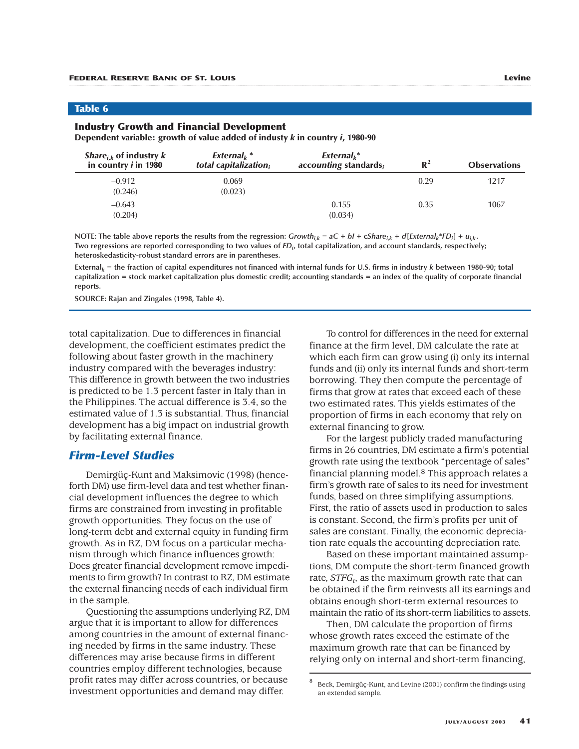#### **Industry Growth and Financial Development**

**Dependent variable: growth of value added of industy** *k* **in country** *i***, 1980-90**

| <i>Share<sub>i,k</sub></i> of industry $k$<br>in country $i$ in 1980 | External <sub>k</sub> <sup>*</sup><br>total capitalization, | $External_k^*$<br>accounting standards, | $\mathbf{R}^2$ | <b>Observations</b> |
|----------------------------------------------------------------------|-------------------------------------------------------------|-----------------------------------------|----------------|---------------------|
| $-0.912$<br>(0.246)                                                  | 0.069<br>(0.023)                                            |                                         | 0.29           | 1217                |
| $-0.643$<br>(0.204)                                                  |                                                             | 0.155<br>(0.034)                        | 0.35           | 1067                |

NOTE: The table above reports the results from the regression: *Growth*<sub>ik</sub> = aC + bI + cShare<sub>ik</sub> + d[External<sub>k</sub>\*FD<sub>i</sub>] + u<sub>ik</sub>. **Two regressions are reported corresponding to two values of** *FDi* **, total capitalization, and account standards, respectively; heteroskedasticity-robust standard errors are in parentheses.**

**External***<sup>k</sup>* **= the fraction of capital expenditures not financed with internal funds for U.S. firms in industry** *k* **between 1980-90; total capitalization = stock market capitalization plus domestic credit; accounting standards = an index of the quality of corporate financial reports.**

**SOURCE: Rajan and Zingales (1998, Table 4).**

total capitalization. Due to differences in financial development, the coefficient estimates predict the following about faster growth in the machinery industry compared with the beverages industry: This difference in growth between the two industries is predicted to be 1.3 percent faster in Italy than in the Philippines. The actual difference is 3.4, so the estimated value of 1.3 is substantial. Thus, financial development has a big impact on industrial growth by facilitating external finance.

#### *Firm-Level Studies*

Demirgüç-Kunt and Maksimovic (1998) (henceforth DM) use firm-level data and test whether financial development influences the degree to which firms are constrained from investing in profitable growth opportunities. They focus on the use of long-term debt and external equity in funding firm growth. As in RZ, DM focus on a particular mechanism through which finance influences growth: Does greater financial development remove impediments to firm growth? In contrast to RZ, DM estimate the external financing needs of each individual firm in the sample.

Questioning the assumptions underlying RZ, DM argue that it is important to allow for differences among countries in the amount of external financing needed by firms in the same industry. These differences may arise because firms in different countries employ different technologies, because profit rates may differ across countries, or because investment opportunities and demand may differ.

To control for differences in the need for external finance at the firm level, DM calculate the rate at which each firm can grow using (i) only its internal funds and (ii) only its internal funds and short-term borrowing. They then compute the percentage of firms that grow at rates that exceed each of these two estimated rates. This yields estimates of the proportion of firms in each economy that rely on external financing to grow.

For the largest publicly traded manufacturing firms in 26 countries, DM estimate a firm's potential growth rate using the textbook "percentage of sales" financial planning model.8 This approach relates a firm's growth rate of sales to its need for investment funds, based on three simplifying assumptions. First, the ratio of assets used in production to sales is constant. Second, the firm's profits per unit of sales are constant. Finally, the economic depreciation rate equals the accounting depreciation rate.

Based on these important maintained assumptions, DM compute the short-term financed growth rate,  $STFG_t$ , as the maximum growth rate that can be obtained if the firm reinvests all its earnings and obtains enough short-term external resources to maintain the ratio of its short-term liabilities to assets.

Then, DM calculate the proportion of firms whose growth rates exceed the estimate of the maximum growth rate that can be financed by relying only on internal and short-term financing,

<sup>8</sup> Beck, Demirgüç-Kunt, and Levine (2001) confirm the findings using an extended sample.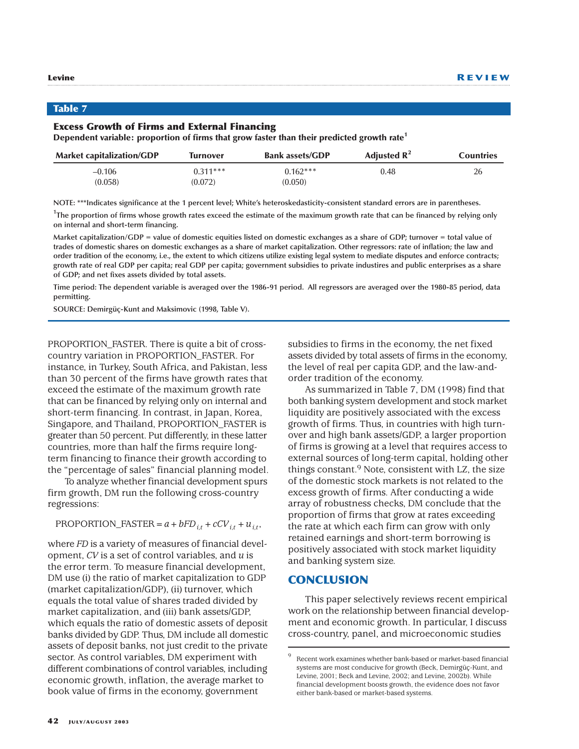|  |  |  |  |  | <b>Excess Growth of Firms and External Financing</b> |  |  |
|--|--|--|--|--|------------------------------------------------------|--|--|
|--|--|--|--|--|------------------------------------------------------|--|--|

**Dependent variable: proportion of firms that grow faster than their predicted growth rate<sup>1</sup>**

| <b>Market capitalization/GDP</b> | Turnover   | <b>Bank assets/GDP</b> | Adjusted $\mathbb{R}^2$ | <b>Countries</b> |
|----------------------------------|------------|------------------------|-------------------------|------------------|
| $-0.106$                         | $0.311***$ | $0.162***$             | 0.48                    | 26               |
| (0.058)                          | (0.072)    | (0.050)                |                         |                  |

**NOTE: \*\*\*Indicates significance at the 1 percent level; White's heteroskedasticity-consistent standard errors are in parentheses.**

**1 The proportion of firms whose growth rates exceed the estimate of the maximum growth rate that can be financed by relying only on internal and short-term financing.**

**Market capitalization/GDP = value of domestic equities listed on domestic exchanges as a share of GDP; turnover = total value of trades of domestic shares on domestic exchanges as a share of market capitalization. Other regressors: rate of inflation; the law and order tradition of the economy, i.e., the extent to which citizens utilize existing legal system to mediate disputes and enforce contracts; growth rate of real GDP per capita; real GDP per capita; government subsidies to private industires and public enterprises as a share of GDP; and net fixes assets divided by total assets.**

**Time period: The dependent variable is averaged over the 1986-91 period. All regressors are averaged over the 1980-85 period, data permitting.**

**SOURCE: Demirgüç-Kunt and Maksimovic (1998, Table V).**

PROPORTION\_FASTER. There is quite a bit of crosscountry variation in PROPORTION\_FASTER. For instance, in Turkey, South Africa, and Pakistan, less than 30 percent of the firms have growth rates that exceed the estimate of the maximum growth rate that can be financed by relying only on internal and short-term financing. In contrast, in Japan, Korea, Singapore, and Thailand, PROPORTION\_FASTER is greater than 50 percent. Put differently, in these latter countries, more than half the firms require longterm financing to finance their growth according to the "percentage of sales" financial planning model.

To analyze whether financial development spurs firm growth, DM run the following cross-country regressions:

PROPORTION\_FASTER =  $a + bFD_{it} + cCV_{it} + u_{it}$ ,

where *FD* is a variety of measures of financial development, *CV* is a set of control variables, and *u* is the error term. To measure financial development, DM use (i) the ratio of market capitalization to GDP (market capitalization/GDP), (ii) turnover, which equals the total value of shares traded divided by market capitalization, and (iii) bank assets/GDP, which equals the ratio of domestic assets of deposit banks divided by GDP. Thus, DM include all domestic assets of deposit banks, not just credit to the private sector. As control variables, DM experiment with different combinations of control variables, including economic growth, inflation, the average market to book value of firms in the economy, government

subsidies to firms in the economy, the net fixed assets divided by total assets of firms in the economy, the level of real per capita GDP, and the law-andorder tradition of the economy.

As summarized in Table 7, DM (1998) find that both banking system development and stock market liquidity are positively associated with the excess growth of firms. Thus, in countries with high turnover and high bank assets/GDP, a larger proportion of firms is growing at a level that requires access to external sources of long-term capital, holding other things constant.9 Note, consistent with LZ, the size of the domestic stock markets is not related to the excess growth of firms. After conducting a wide array of robustness checks, DM conclude that the proportion of firms that grow at rates exceeding the rate at which each firm can grow with only retained earnings and short-term borrowing is positively associated with stock market liquidity and banking system size.

### **CONCLUSION**

This paper selectively reviews recent empirical work on the relationship between financial development and economic growth. In particular, I discuss cross-country, panel, and microeconomic studies

Recent work examines whether bank-based or market-based financial systems are most conducive for growth (Beck, Demirgüç-Kunt, and Levine, 2001; Beck and Levine, 2002; and Levine, 2002b). While financial development boosts growth, the evidence does not favor either bank-based or market-based systems.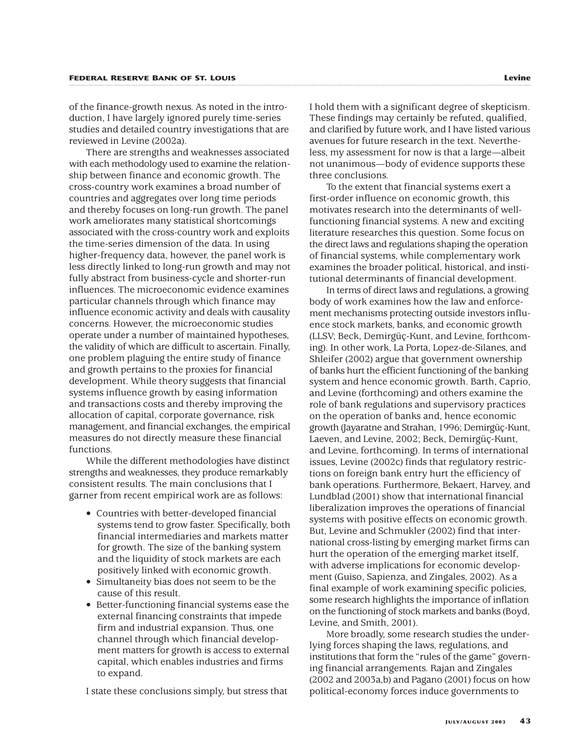of the finance-growth nexus. As noted in the introduction, I have largely ignored purely time-series studies and detailed country investigations that are reviewed in Levine (2002a).

There are strengths and weaknesses associated with each methodology used to examine the relationship between finance and economic growth. The cross-country work examines a broad number of countries and aggregates over long time periods and thereby focuses on long-run growth. The panel work ameliorates many statistical shortcomings associated with the cross-country work and exploits the time-series dimension of the data. In using higher-frequency data, however, the panel work is less directly linked to long-run growth and may not fully abstract from business-cycle and shorter-run influences. The microeconomic evidence examines particular channels through which finance may influence economic activity and deals with causality concerns. However, the microeconomic studies operate under a number of maintained hypotheses, the validity of which are difficult to ascertain. Finally, one problem plaguing the entire study of finance and growth pertains to the proxies for financial development. While theory suggests that financial systems influence growth by easing information and transactions costs and thereby improving the allocation of capital, corporate governance, risk management, and financial exchanges, the empirical measures do not directly measure these financial functions.

While the different methodologies have distinct strengths and weaknesses, they produce remarkably consistent results. The main conclusions that I garner from recent empirical work are as follows:

- Countries with better-developed financial systems tend to grow faster. Specifically, both financial intermediaries and markets matter for growth. The size of the banking system and the liquidity of stock markets are each positively linked with economic growth.
- Simultaneity bias does not seem to be the cause of this result.
- Better-functioning financial systems ease the external financing constraints that impede firm and industrial expansion. Thus, one channel through which financial development matters for growth is access to external capital, which enables industries and firms to expand.

I state these conclusions simply, but stress that

I hold them with a significant degree of skepticism. These findings may certainly be refuted, qualified, and clarified by future work, and I have listed various avenues for future research in the text. Nevertheless, my assessment for now is that a large—albeit not unanimous—body of evidence supports these three conclusions.

To the extent that financial systems exert a first-order influence on economic growth, this motivates research into the determinants of wellfunctioning financial systems. A new and exciting literature researches this question. Some focus on the direct laws and regulations shaping the operation of financial systems, while complementary work examines the broader political, historical, and institutional determinants of financial development.

In terms of direct laws and regulations, a growing body of work examines how the law and enforcement mechanisms protecting outside investors influence stock markets, banks, and economic growth (LLSV; Beck, Demirgüç-Kunt, and Levine, forthcoming). In other work, La Porta, Lopez-de-Silanes, and Shleifer (2002) argue that government ownership of banks hurt the efficient functioning of the banking system and hence economic growth. Barth, Caprio, and Levine (forthcoming) and others examine the role of bank regulations and supervisory practices on the operation of banks and, hence economic growth (Jayaratne and Strahan, 1996; Demirgüç-Kunt, Laeven, and Levine, 2002; Beck, Demirgüç-Kunt, and Levine, forthcoming). In terms of international issues, Levine (2002c) finds that regulatory restrictions on foreign bank entry hurt the efficiency of bank operations. Furthermore, Bekaert, Harvey, and Lundblad (2001) show that international financial liberalization improves the operations of financial systems with positive effects on economic growth. But, Levine and Schmukler (2002) find that international cross-listing by emerging market firms can hurt the operation of the emerging market itself, with adverse implications for economic development (Guiso, Sapienza, and Zingales, 2002). As a final example of work examining specific policies, some research highlights the importance of inflation on the functioning of stock markets and banks (Boyd, Levine, and Smith, 2001).

More broadly, some research studies the underlying forces shaping the laws, regulations, and institutions that form the "rules of the game" governing financial arrangements. Rajan and Zingales (2002 and 2003a,b) and Pagano (2001) focus on how political-economy forces induce governments to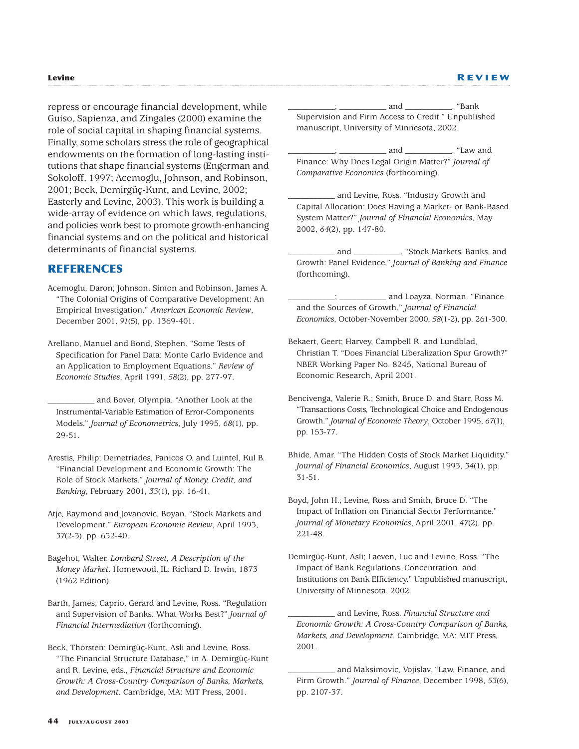repress or encourage financial development, while Guiso, Sapienza, and Zingales (2000) examine the role of social capital in shaping financial systems. Finally, some scholars stress the role of geographical endowments on the formation of long-lasting institutions that shape financial systems (Engerman and Sokoloff, 1997; Acemoglu, Johnson, and Robinson, 2001; Beck, Demirgüç-Kunt, and Levine, 2002; Easterly and Levine, 2003). This work is building a wide-array of evidence on which laws, regulations, and policies work best to promote growth-enhancing financial systems and on the political and historical determinants of financial systems.

# **REFERENCES**

Acemoglu, Daron; Johnson, Simon and Robinson, James A. "The Colonial Origins of Comparative Development: An Empirical Investigation." *American Economic Review*, December 2001, *91*(5), pp. 1369-401.

Arellano, Manuel and Bond, Stephen. "Some Tests of Specification for Panel Data: Monte Carlo Evidence and an Application to Employment Equations." *Review of Economic Studies*, April 1991, *58*(2), pp. 277-97.

and Bover, Olympia. "Another Look at the Instrumental-Variable Estimation of Error-Components Models." *Journal of Econometrics*, July 1995, *68*(1), pp. 29-51.

- Arestis, Philip; Demetriades, Panicos O. and Luintel, Kul B. "Financial Development and Economic Growth: The Role of Stock Markets." *Journal of Money, Credit, and Banking*, February 2001, *33*(1), pp. 16-41.
- Atje, Raymond and Jovanovic, Boyan. "Stock Markets and Development." *European Economic Review*, April 1993, *37*(2-3), pp. 632-40.
- Bagehot, Walter. *Lombard Street, A Description of the Money Market*. Homewood, IL: Richard D. Irwin, 1873 (1962 Edition).
- Barth, James; Caprio, Gerard and Levine, Ross. "Regulation and Supervision of Banks: What Works Best?" *Journal of Financial Intermediation* (forthcoming).
- Beck, Thorsten; Demirgüç-Kunt, Asli and Levine, Ross. "The Financial Structure Database," in A. Demirgüç-Kunt and R. Levine, eds., *Financial Structure and Economic Growth: A Cross-Country Comparison of Banks, Markets, and Development*. Cambridge, MA: MIT Press, 2001.

\_\_\_\_\_\_\_\_\_\_\_; \_\_\_\_\_\_\_\_\_\_\_ and \_\_\_\_\_\_\_\_\_\_\_. "Bank Supervision and Firm Access to Credit." Unpublished manuscript, University of Minnesota, 2002.

\_\_\_\_\_\_\_\_\_\_\_; \_\_\_\_\_\_\_\_\_\_\_ and \_\_\_\_\_\_\_\_\_\_\_. "Law and Finance: Why Does Legal Origin Matter?" *Journal of Comparative Economics* (forthcoming).

and Levine, Ross. "Industry Growth and Capital Allocation: Does Having a Market- or Bank-Based System Matter?" *Journal of Financial Economics*, May 2002, *64*(2), pp. 147-80.

\_\_\_\_\_\_\_\_\_\_\_ and \_\_\_\_\_\_\_\_\_\_\_. "Stock Markets, Banks, and Growth: Panel Evidence." *Journal of Banking and Finance* (forthcoming).

- \_\_\_\_\_\_\_\_\_\_\_; \_\_\_\_\_\_\_\_\_\_\_ and Loayza, Norman. "Finance and the Sources of Growth." *Journal of Financial Economics*, October-November 2000, *58*(1-2), pp. 261-300.
- Bekaert, Geert; Harvey, Campbell R. and Lundblad, Christian T. "Does Financial Liberalization Spur Growth?" NBER Working Paper No. 8245, National Bureau of Economic Research, April 2001.
- Bencivenga, Valerie R.; Smith, Bruce D. and Starr, Ross M. "Transactions Costs, Technological Choice and Endogenous Growth." *Journal of Economic Theory*, October 1995, *67*(1), pp. 153-77.
- Bhide, Amar. "The Hidden Costs of Stock Market Liquidity." *Journal of Financial Economics*, August 1993, *34*(1), pp. 31-51.

Boyd, John H.; Levine, Ross and Smith, Bruce D. "The Impact of Inflation on Financial Sector Performance." *Journal of Monetary Economics*, April 2001, *47*(2), pp. 221-48.

Demirgüç-Kunt, Asli; Laeven, Luc and Levine, Ross. "The Impact of Bank Regulations, Concentration, and Institutions on Bank Efficiency." Unpublished manuscript, University of Minnesota, 2002.

\_\_\_\_\_\_\_\_\_\_\_ and Levine, Ross. *Financial Structure and Economic Growth: A Cross-Country Comparison of Banks, Markets, and Development*. Cambridge, MA: MIT Press, 2001.

and Maksimovic, Vojislav. "Law, Finance, and Firm Growth." *Journal of Finance*, December 1998, *53*(6), pp. 2107-37.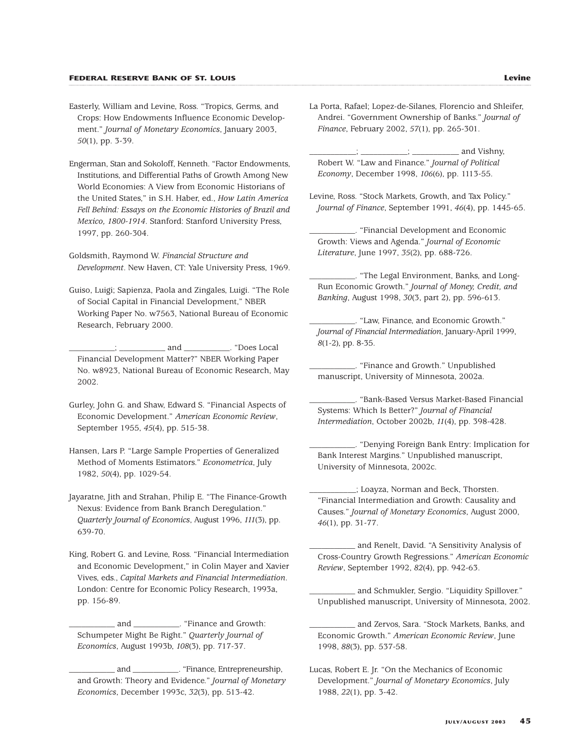Easterly, William and Levine, Ross. "Tropics, Germs, and Crops: How Endowments Influence Economic Development." *Journal of Monetary Economics*, January 2003, *50*(1), pp. 3-39.

Engerman, Stan and Sokoloff, Kenneth. "Factor Endowments, Institutions, and Differential Paths of Growth Among New World Economies: A View from Economic Historians of the United States," in S.H. Haber, ed., *How Latin America Fell Behind: Essays on the Economic Histories of Brazil and Mexico, 1800-1914*. Stanford: Stanford University Press, 1997, pp. 260-304.

Goldsmith, Raymond W. *Financial Structure and Development*. New Haven, CT: Yale University Press, 1969.

Guiso, Luigi; Sapienza, Paola and Zingales, Luigi. "The Role of Social Capital in Financial Development," NBER Working Paper No. w7563, National Bureau of Economic Research, February 2000.

\_\_\_\_\_\_\_\_\_\_\_; \_\_\_\_\_\_\_\_\_\_\_ and \_\_\_\_\_\_\_\_\_\_\_. "Does Local Financial Development Matter?" NBER Working Paper No. w8923, National Bureau of Economic Research, May 2002.

Gurley, John G. and Shaw, Edward S. "Financial Aspects of Economic Development." *American Economic Review*, September 1955, *45*(4), pp. 515-38.

Hansen, Lars P. "Large Sample Properties of Generalized Method of Moments Estimators." *Econometrica*, July 1982, *50*(4), pp. 1029-54.

Jayaratne, Jith and Strahan, Philip E. "The Finance-Growth Nexus: Evidence from Bank Branch Deregulation." *Quarterly Journal of Economics*, August 1996, *111*(3), pp. 639-70.

King, Robert G. and Levine, Ross. "Financial Intermediation and Economic Development," in Colin Mayer and Xavier Vives, eds., *Capital Markets and Financial Intermediation*. London: Centre for Economic Policy Research, 1993a, pp. 156-89.

and \_\_\_\_\_\_\_\_\_\_\_\_. "Finance and Growth: Schumpeter Might Be Right." *Quarterly Journal of Economics*, August 1993b, *108*(3), pp. 717-37.

and Terminance, Entrepreneurship, and Growth: Theory and Evidence." *Journal of Monetary Economics*, December 1993c, *32*(3), pp. 513-42.

La Porta, Rafael; Lopez-de-Silanes, Florencio and Shleifer, Andrei. "Government Ownership of Banks." *Journal of Finance*, February 2002, *57*(1), pp. 265-301.

\_\_\_\_\_\_\_\_\_\_\_; \_\_\_\_\_\_\_\_\_\_\_; \_\_\_\_\_\_\_\_\_\_\_ and Vishny, Robert W. "Law and Finance." *Journal of Political Economy*, December 1998, *106*(6), pp. 1113-55.

Levine, Ross. "Stock Markets, Growth, and Tax Policy." *Journal of Finance*, September 1991, *46*(4), pp. 1445-65.

\_\_\_\_\_\_\_\_\_\_\_. "Financial Development and Economic Growth: Views and Agenda." *Journal of Economic Literature*, June 1997, *35*(2), pp. 688-726.

\_\_\_\_\_\_\_\_\_\_\_. "The Legal Environment, Banks, and Long-Run Economic Growth." *Journal of Money, Credit, and Banking*, August 1998, *30*(3, part 2), pp. 596-613.

\_\_\_\_\_\_\_\_\_\_\_. "Law, Finance, and Economic Growth." *Journal of Financial Intermediation*, January-April 1999, *8*(1-2), pp. 8-35.

\_\_\_\_\_\_\_\_\_\_\_. "Finance and Growth." Unpublished manuscript, University of Minnesota, 2002a.

\_\_\_\_\_\_\_\_\_\_\_. "Bank-Based Versus Market-Based Financial Systems: Which Is Better?" *Journal of Financial Intermediation*, October 2002b, *11*(4), pp. 398-428.

\_\_\_\_\_\_\_\_\_\_\_. "Denying Foreign Bank Entry: Implication for Bank Interest Margins." Unpublished manuscript, University of Minnesota, 2002c.

\_\_\_\_\_\_\_\_\_\_\_; Loayza, Norman and Beck, Thorsten. "Financial Intermediation and Growth: Causality and Causes." *Journal of Monetary Economics*, August 2000, *46*(1), pp. 31-77.

and Renelt, David. "A Sensitivity Analysis of Cross-Country Growth Regressions." *American Economic Review*, September 1992, *82*(4), pp. 942-63.

\_\_\_\_\_\_\_\_\_\_\_ and Schmukler, Sergio. "Liquidity Spillover." Unpublished manuscript, University of Minnesota, 2002.

and Zervos, Sara. "Stock Markets, Banks, and Economic Growth." *American Economic Review*, June 1998, *88*(3), pp. 537-58.

Lucas, Robert E. Jr. "On the Mechanics of Economic Development." *Journal of Monetary Economics*, July 1988, *22*(1), pp. 3-42.